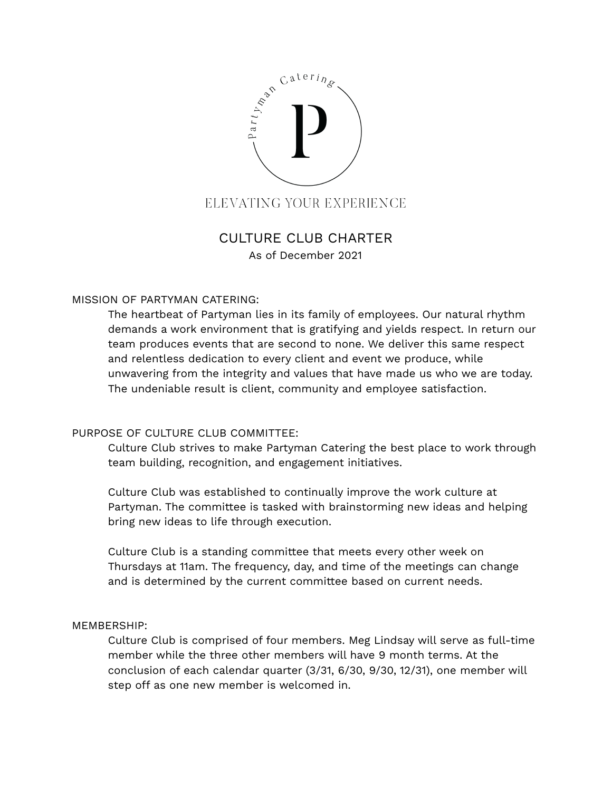

# CULTURE CLUB CHARTER As of December 2021

### MISSION OF PARTYMAN CATERING:

The heartbeat of Partyman lies in its family of employees. Our natural rhythm demands a work environment that is gratifying and yields respect. In return our team produces events that are second to none. We deliver this same respect and relentless dedication to every client and event we produce, while unwavering from the integrity and values that have made us who we are today. The undeniable result is client, community and employee satisfaction.

#### PURPOSE OF CULTURE CLUB COMMITTEE:

Culture Club strives to make Partyman Catering the best place to work through team building, recognition, and engagement initiatives.

Culture Club was established to continually improve the work culture at Partyman. The committee is tasked with brainstorming new ideas and helping bring new ideas to life through execution.

Culture Club is a standing committee that meets every other week on Thursdays at 11am. The frequency, day, and time of the meetings can change and is determined by the current committee based on current needs.

#### MEMBERSHIP:

Culture Club is comprised of four members. Meg Lindsay will serve as full-time member while the three other members will have 9 month terms. At the conclusion of each calendar quarter (3/31, 6/30, 9/30, 12/31), one member will step off as one new member is welcomed in.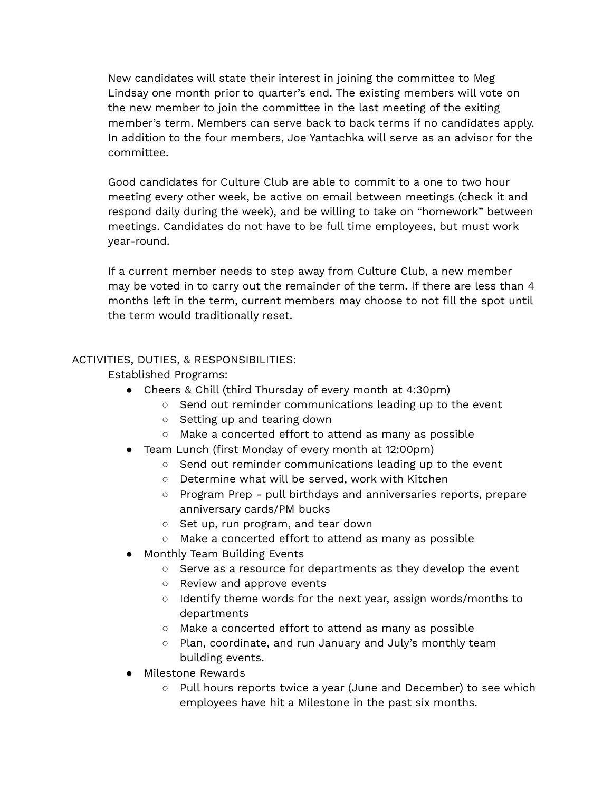New candidates will state their interest in joining the committee to Meg Lindsay one month prior to quarter's end. The existing members will vote on the new member to join the committee in the last meeting of the exiting member's term. Members can serve back to back terms if no candidates apply. In addition to the four members, Joe Yantachka will serve as an advisor for the committee.

Good candidates for Culture Club are able to commit to a one to two hour meeting every other week, be active on email between meetings (check it and respond daily during the week), and be willing to take on "homework" between meetings. Candidates do not have to be full time employees, but must work year-round.

If a current member needs to step away from Culture Club, a new member may be voted in to carry out the remainder of the term. If there are less than 4 months left in the term, current members may choose to not fill the spot until the term would traditionally reset.

## ACTIVITIES, DUTIES, & RESPONSIBILITIES:

Established Programs:

- Cheers & Chill (third Thursday of every month at 4:30pm)
	- Send out reminder communications leading up to the event
	- Setting up and tearing down
	- Make a concerted effort to attend as many as possible
- Team Lunch (first Monday of every month at 12:00pm)
	- Send out reminder communications leading up to the event
	- Determine what will be served, work with Kitchen
	- Program Prep pull birthdays and anniversaries reports, prepare anniversary cards/PM bucks
	- Set up, run program, and tear down
	- Make a concerted effort to attend as many as possible
- Monthly Team Building Events
	- Serve as a resource for departments as they develop the event
	- Review and approve events
	- Identify theme words for the next year, assign words/months to departments
	- Make a concerted effort to attend as many as possible
	- Plan, coordinate, and run January and July's monthly team building events.
- Milestone Rewards
	- Pull hours reports twice a year (June and December) to see which employees have hit a Milestone in the past six months.